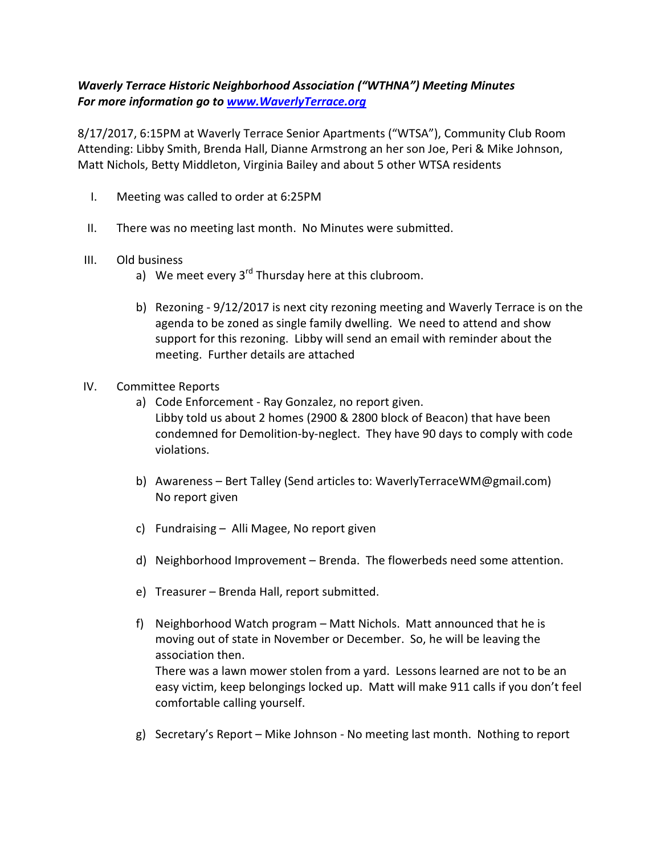## Waverly Terrace Historic Neighborhood Association ("WTHNA") Meeting Minutes For more information go to www.WaverlyTerrace.org

8/17/2017, 6:15PM at Waverly Terrace Senior Apartments ("WTSA"), Community Club Room Attending: Libby Smith, Brenda Hall, Dianne Armstrong an her son Joe, Peri & Mike Johnson, Matt Nichols, Betty Middleton, Virginia Bailey and about 5 other WTSA residents

- I. Meeting was called to order at 6:25PM
- II. There was no meeting last month. No Minutes were submitted.
- III. Old business
	- a) We meet every  $3^{rd}$  Thursday here at this clubroom.
	- b) Rezoning 9/12/2017 is next city rezoning meeting and Waverly Terrace is on the agenda to be zoned as single family dwelling. We need to attend and show support for this rezoning. Libby will send an email with reminder about the meeting. Further details are attached
- IV. Committee Reports
	- a) Code Enforcement Ray Gonzalez, no report given. Libby told us about 2 homes (2900 & 2800 block of Beacon) that have been condemned for Demolition-by-neglect. They have 90 days to comply with code violations.
	- b) Awareness Bert Talley (Send articles to: WaverlyTerraceWM@gmail.com) No report given
	- c) Fundraising Alli Magee, No report given
	- d) Neighborhood Improvement Brenda. The flowerbeds need some attention.
	- e) Treasurer Brenda Hall, report submitted.
	- f) Neighborhood Watch program Matt Nichols. Matt announced that he is moving out of state in November or December. So, he will be leaving the association then. There was a lawn mower stolen from a yard. Lessons learned are not to be an easy victim, keep belongings locked up. Matt will make 911 calls if you don't feel comfortable calling yourself.
	- g) Secretary's Report Mike Johnson No meeting last month. Nothing to report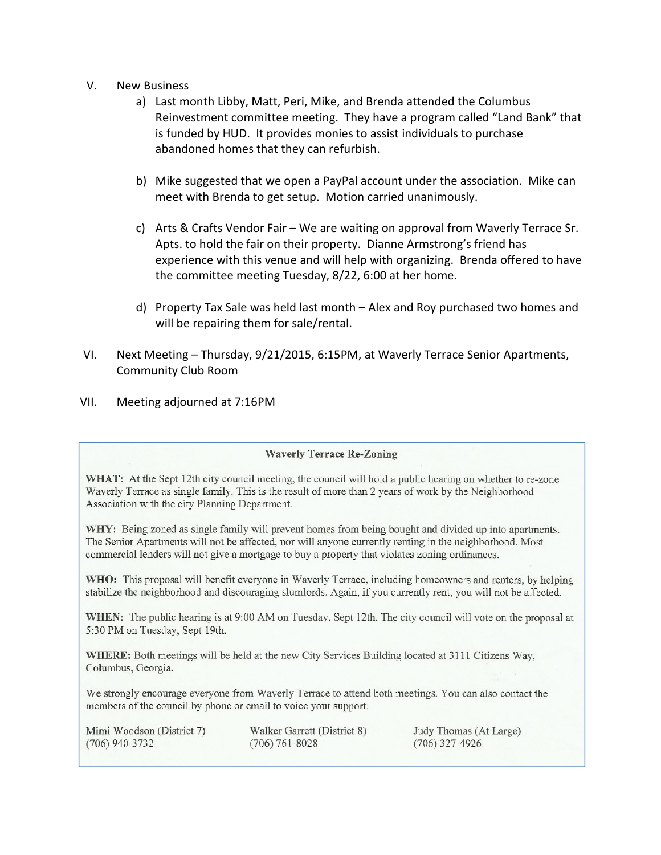- V. New Business
	- a) Last month Libby, Matt, Peri, Mike, and Brenda attended the Columbus Reinvestment committee meeting. They have a program called "Land Bank" that is funded by HUD. It provides monies to assist individuals to purchase abandoned homes that they can refurbish.
	- b) Mike suggested that we open a PayPal account under the association. Mike can meet with Brenda to get setup. Motion carried unanimously.
	- c) Arts & Crafts Vendor Fair We are waiting on approval from Waverly Terrace Sr. Apts. to hold the fair on their property. Dianne Armstrong's friend has experience with this venue and will help with organizing. Brenda offered to have the committee meeting Tuesday, 8/22, 6:00 at her home.
	- d) Property Tax Sale was held last month Alex and Roy purchased two homes and will be repairing them for sale/rental.
- VI. Next Meeting Thursday, 9/21/2015, 6:15PM, at Waverly Terrace Senior Apartments, Community Club Room
- VII. Meeting adjourned at 7:16PM

## **Waverly Terrace Re-Zoning**

WHAT: At the Sept 12th city council meeting, the council will hold a public hearing on whether to re-zone Waverly Terrace as single family. This is the result of more than 2 years of work by the Neighborhood Association with the city Planning Department.

WHY: Being zoned as single family will prevent homes from being bought and divided up into apartments. The Senior Apartments will not be affected, nor will anyone currently renting in the neighborhood. Most commercial lenders will not give a mortgage to buy a property that violates zoning ordinances.

WHO: This proposal will benefit everyone in Waverly Terrace, including homeowners and renters, by helping stabilize the neighborhood and discouraging slumlords. Again, if you currently rent, you will not be affected.

WHEN: The public hearing is at 9:00 AM on Tuesday, Sept 12th. The city council will vote on the proposal at 5:30 PM on Tuesday, Sept 19th.

WHERE: Both meetings will be held at the new City Services Building located at 3111 Citizens Way, Columbus, Georgia.

We strongly encourage everyone from Waverly Terrace to attend both meetings. You can also contact the members of the council by phone or email to voice your support.

Mimi Woodson (District 7)  $(706)$  940-3732

Walker Garrett (District 8)  $(706) 761 - 8028$ 

Judy Thomas (At Large)  $(706)$  327-4926